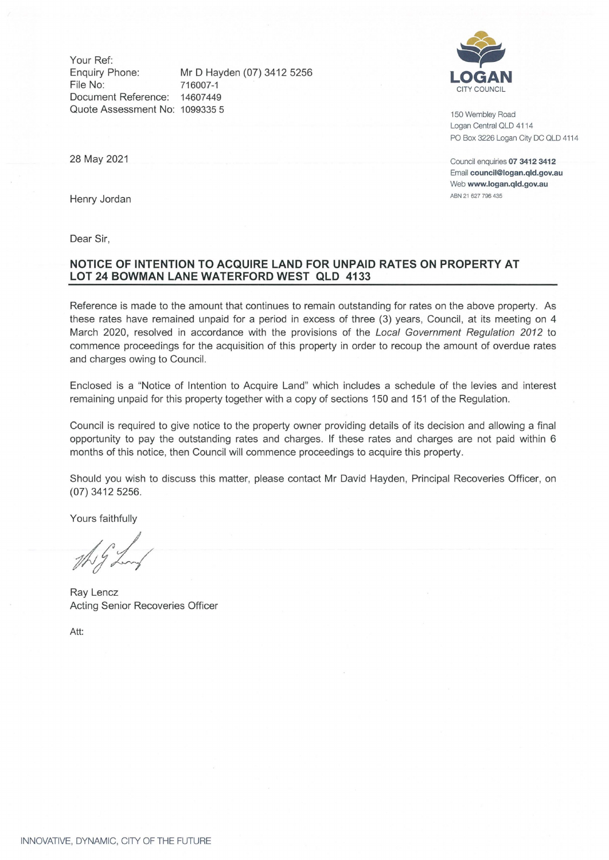Your Ref: Enquiry Phone: Mr D Hayden (07) 3412 5256 File No: 716007-1 Document Reference: 14607449 Quote Assessment **No:** 1099335 5



150 Wembley Road Logan Central QLD 4114 PO Box 3226 Logan City DC OLD 4114

Council enquiries **07 3412 3412**  Email **council@logan.qld.gov.au**  Web **www.logan.qld.gov.au**  ABN 21 627 796 435

28 May 2021

Henry Jordan

Dear Sir,

### **NOTICE OF INTENTION TO ACQUIRE LAND FOR UNPAID RATES ON PROPERTY AT LOT 24 BOWMAN LANE WATERFORD WEST QLD 4133**

Reference is made to the amount that continues to remain outstanding for rates on the above property. As these rates have remained unpaid for a period in excess of three (3) years, Council, at its meeting on 4 March 2020, resolved in accordance with the provisions of the Local Government Regulation 2012 to commence proceedings for the acquisition of this property in order to recoup the amount of overdue rates and charges owing to Council.

Enclosed is a "Notice of Intention to Acquire Land" which includes a schedule of the levies and interest remaining unpaid for this property together with a copy of sections 150 and 151 of the Regulation .

Council is required to give notice to the property owner providing details of its decision and allowing a final opportunity to pay the outstanding rates and charges. If these rates and charges are not paid within 6 months of this notice, then Council will commence proceedings to acquire this property.

Should you wish to discuss this matter, please contact Mr David Hayden, Principal Recoveries Officer, on (07) 3412 5256.

Yours faithfully

Ray Lencz Acting Senior Recoveries Officer

Att: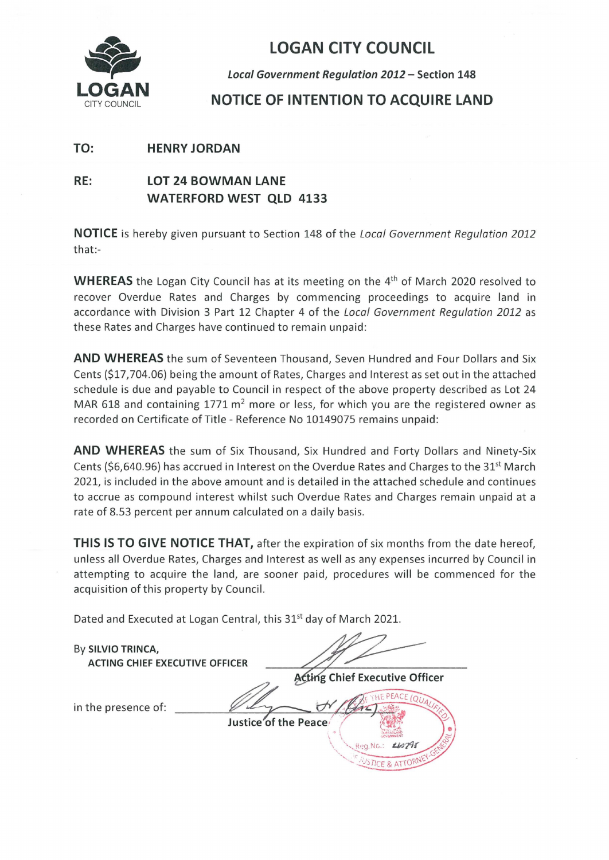

# LOGAN CITY COUNCIL

**Local Government Regulation 2012** - **Section 148** 

## **NOTICE OF INTENTION TO ACQUIRE LAND**

### **TO: HENRY JORDAN**

## **RE: LOT 24 BOWMAN LANE WATERFORD WEST QLD 4133**

**NOTICE** is hereby given pursuant to Section 148 of the Local Government Regulation 2012 that:-

**WHEREAS** the Logan City Council has at its meeting on the 4<sup>th</sup> of March 2020 resolved to recover Overdue Rates and Charges by commencing proceedings to acquire land in accordance with Division 3 Part 12 Chapter 4 of the Local Government Regulation 2012 as these Rates and Charges have continued to remain unpaid :

**AND WHEREAS** the sum of Seventeen Thousand, Seven Hundred and Four Dollars and Six Cents (\$17,704.06) being the amount of Rates, Charges and Interest as set out in the attached schedule is due and payable to Council in respect of the above property described as Lot 24 MAR 618 and containing 1771  $m^2$  more or less, for which you are the registered owner as recorded on Certificate of Title - Reference No 10149075 remains unpaid:

**AND WHEREAS** the sum of Six Thousand, Six Hundred and Forty Dollars and Ninety-Six Cents (\$6,640.96) has accrued in Interest on the Overdue Rates and Charges to the 31<sup>st</sup> March 2021, is included in the above amount and is detailed in the attached schedule and continues to accrue as compound interest whilst such Overdue Rates and Charges remain unpaid at a rate of 8.53 percent per annum calculated on a daily basis.

**THIS IS TO GIVE NOTICE THAT,** after the expiration of six months from the date hereof, unless all Overdue Rates, Charges and Interest as well as any expenses incurred by Council in attempting to acquire the land, are sooner paid, procedures will be commenced for the acquisition of this property by Council.

Dated and Executed at Logan Central, this 31<sup>st</sup> day of March 2021.

| By SILVIO TRINCA,<br><b>ACTING CHIEF EXECUTIVE OFFICER</b> |                                                                                                 |
|------------------------------------------------------------|-------------------------------------------------------------------------------------------------|
|                                                            | Acting Chief Executive Officer                                                                  |
| in the presence of:                                        | $44\frac{I_{4}}{I_{5}}$<br>Justice of the Peace<br>Li <sub>0</sub> 74<br>Reg.N<br><b>AUSTI-</b> |